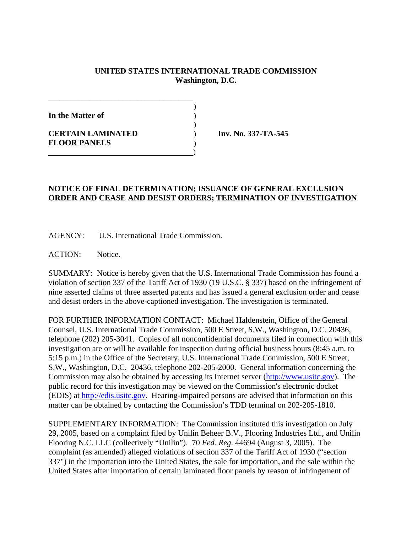## **UNITED STATES INTERNATIONAL TRADE COMMISSION Washington, D.C.**

| In the Matter of                                |  |
|-------------------------------------------------|--|
| <b>CERTAIN LAMINATED</b><br><b>FLOOR PANELS</b> |  |
|                                                 |  |

\_\_\_\_\_\_\_\_\_\_\_\_\_\_\_\_\_\_\_\_\_\_\_\_\_\_\_\_\_\_\_\_\_\_\_\_\_\_\_

**Inv. No. 337-TA-545** 

## **NOTICE OF FINAL DETERMINATION; ISSUANCE OF GENERAL EXCLUSION ORDER AND CEASE AND DESIST ORDERS; TERMINATION OF INVESTIGATION**

AGENCY: U.S. International Trade Commission.

ACTION: Notice.

SUMMARY: Notice is hereby given that the U.S. International Trade Commission has found a violation of section 337 of the Tariff Act of 1930 (19 U.S.C. § 337) based on the infringement of nine asserted claims of three asserted patents and has issued a general exclusion order and cease and desist orders in the above-captioned investigation. The investigation is terminated.

FOR FURTHER INFORMATION CONTACT: Michael Haldenstein, Office of the General Counsel, U.S. International Trade Commission, 500 E Street, S.W., Washington, D.C. 20436, telephone (202) 205-3041. Copies of all nonconfidential documents filed in connection with this investigation are or will be available for inspection during official business hours (8:45 a.m. to 5:15 p.m.) in the Office of the Secretary, U.S. International Trade Commission, 500 E Street, S.W., Washington, D.C. 20436, telephone 202-205-2000. General information concerning the Commission may also be obtained by accessing its Internet server (http://www.usitc.gov). The public record for this investigation may be viewed on the Commission's electronic docket (EDIS) at http://edis.usitc.gov. Hearing-impaired persons are advised that information on this matter can be obtained by contacting the Commission's TDD terminal on 202-205-1810.

SUPPLEMENTARY INFORMATION: The Commission instituted this investigation on July 29, 2005, based on a complaint filed by Unilin Beheer B.V., Flooring Industries Ltd., and Unilin Flooring N.C. LLC (collectively "Unilin"). 70 *Fed. Reg*. 44694 (August 3, 2005). The complaint (as amended) alleged violations of section 337 of the Tariff Act of 1930 ("section 337") in the importation into the United States, the sale for importation, and the sale within the United States after importation of certain laminated floor panels by reason of infringement of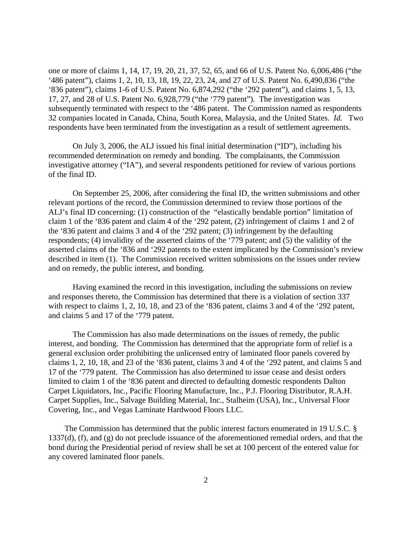one or more of claims 1, 14, 17, 19, 20, 21, 37, 52, 65, and 66 of U.S. Patent No. 6,006,486 ("the '486 patent"), claims 1, 2, 10, 13, 18, 19, 22, 23, 24, and 27 of U.S. Patent No. 6,490,836 ("the '836 patent"), claims 1-6 of U.S. Patent No. 6,874,292 ("the '292 patent"), and claims 1, 5, 13, 17, 27, and 28 of U.S. Patent No. 6,928,779 ("the '779 patent"). The investigation was subsequently terminated with respect to the '486 patent. The Commission named as respondents 32 companies located in Canada, China, South Korea, Malaysia, and the United States. *Id.* Two respondents have been terminated from the investigation as a result of settlement agreements.

On July 3, 2006, the ALJ issued his final initial determination ("ID"), including his recommended determination on remedy and bonding. The complainants, the Commission investigative attorney ("IA"), and several respondents petitioned for review of various portions of the final ID.

On September 25, 2006, after considering the final ID, the written submissions and other relevant portions of the record, the Commission determined to review those portions of the ALJ's final ID concerning: (1) construction of the "elastically bendable portion" limitation of claim 1 of the '836 patent and claim 4 of the '292 patent, (2) infringement of claims 1 and 2 of the '836 patent and claims 3 and 4 of the '292 patent; (3) infringement by the defaulting respondents; (4) invalidity of the asserted claims of the '779 patent; and (5) the validity of the asserted claims of the '836 and '292 patents to the extent implicated by the Commission's review described in item (1). The Commission received written submissions on the issues under review and on remedy, the public interest, and bonding.

Having examined the record in this investigation, including the submissions on review and responses thereto, the Commission has determined that there is a violation of section 337 with respect to claims 1, 2, 10, 18, and 23 of the '836 patent, claims 3 and 4 of the '292 patent, and claims 5 and 17 of the '779 patent.

The Commission has also made determinations on the issues of remedy, the public interest, and bonding. The Commission has determined that the appropriate form of relief is a general exclusion order prohibiting the unlicensed entry of laminated floor panels covered by claims 1, 2, 10, 18, and 23 of the '836 patent, claims 3 and 4 of the '292 patent, and claims 5 and 17 of the '779 patent. The Commission has also determined to issue cease and desist orders limited to claim 1 of the '836 patent and directed to defaulting domestic respondents Dalton Carpet Liquidators, Inc., Pacific Flooring Manufacture, Inc., P.J. Flooring Distributor, R.A.H. Carpet Supplies, Inc., Salvage Building Material, Inc., Stalheim (USA), Inc., Universal Floor Covering, Inc., and Vegas Laminate Hardwood Floors LLC.

 The Commission has determined that the public interest factors enumerated in 19 U.S.C. § 1337(d), (f), and (g) do not preclude issuance of the aforementioned remedial orders, and that the bond during the Presidential period of review shall be set at 100 percent of the entered value for any covered laminated floor panels.